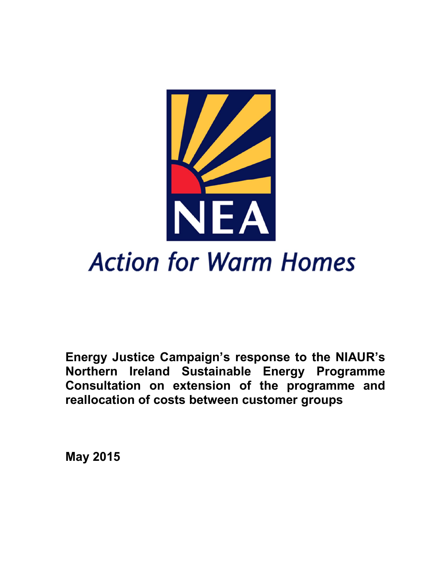

**Energy Justice Campaign's response to the NIAUR's Northern Ireland Sustainable Energy Programme Consultation on extension of the programme and reallocation of costs between customer groups**

**May 2015**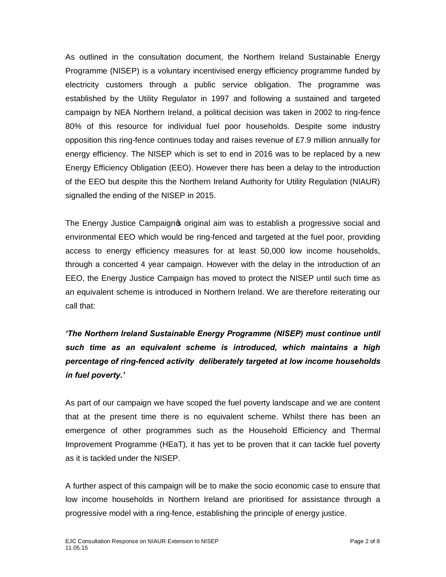As outlined in the consultation document, the Northern Ireland Sustainable Energy Programme (NISEP) is a voluntary incentivised energy efficiency programme funded by electricity customers through a public service obligation. The programme was established by the Utility Regulator in 1997 and following a sustained and targeted campaign by NEA Northern Ireland, a political decision was taken in 2002 to ring-fence 80% of this resource for individual fuel poor households. Despite some industry opposition this ring-fence continues today and raises revenue of £7.9 million annually for energy efficiency. The NISEP which is set to end in 2016 was to be replaced by a new Energy Efficiency Obligation (EEO). However there has been a delay to the introduction of the EEO but despite this the Northern Ireland Authority for Utility Regulation (NIAUR) signalled the ending of the NISEP in 2015.

The Energy Justice Campaign  $\phi$  original aim was to establish a progressive social and environmental EEO which would be ring-fenced and targeted at the fuel poor, providing access to energy efficiency measures for at least 50,000 low income households, through a concerted 4 year campaign. However with the delay in the introduction of an EEO, the Energy Justice Campaign has moved to protect the NISEP until such time as an equivalent scheme is introduced in Northern Ireland. We are therefore reiterating our call that:

*'The Northern Ireland Sustainable Energy Programme (NISEP) must continue until such time as an equivalent scheme is introduced, which maintains a high percentage of ring-fenced activity deliberately targeted at low income households in fuel poverty.'*

As part of our campaign we have scoped the fuel poverty landscape and we are content that at the present time there is no equivalent scheme. Whilst there has been an emergence of other programmes such as the Household Efficiency and Thermal Improvement Programme (HEaT), it has yet to be proven that it can tackle fuel poverty as it is tackled under the NISEP.

A further aspect of this campaign will be to make the socio economic case to ensure that low income households in Northern Ireland are prioritised for assistance through a progressive model with a ring-fence, establishing the principle of energy justice.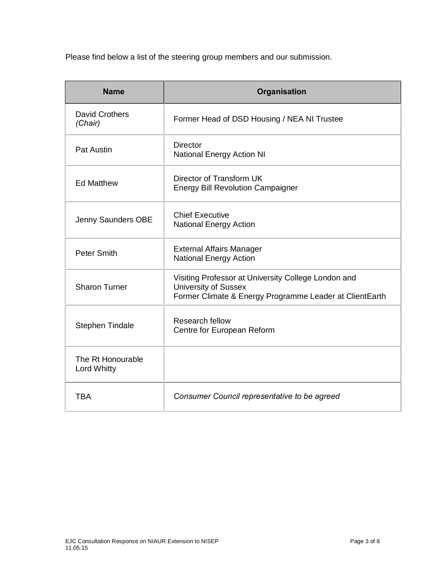Please find below a list of the steering group members and our submission.

| <b>Name</b>                             | Organisation                                                                                                                                  |
|-----------------------------------------|-----------------------------------------------------------------------------------------------------------------------------------------------|
| David Crothers<br>(Chair)               | Former Head of DSD Housing / NEA NI Trustee                                                                                                   |
| <b>Pat Austin</b>                       | <b>Director</b><br><b>National Energy Action NI</b>                                                                                           |
| <b>Ed Matthew</b>                       | Director of Transform UK<br><b>Energy Bill Revolution Campaigner</b>                                                                          |
| Jenny Saunders OBE                      | <b>Chief Executive</b><br><b>National Energy Action</b>                                                                                       |
| <b>Peter Smith</b>                      | <b>External Affairs Manager</b><br><b>National Energy Action</b>                                                                              |
| <b>Sharon Turner</b>                    | Visiting Professor at University College London and<br><b>University of Sussex</b><br>Former Climate & Energy Programme Leader at ClientEarth |
| <b>Stephen Tindale</b>                  | Research fellow<br>Centre for European Reform                                                                                                 |
| The Rt Honourable<br><b>Lord Whitty</b> |                                                                                                                                               |
| <b>TBA</b>                              | Consumer Council representative to be agreed                                                                                                  |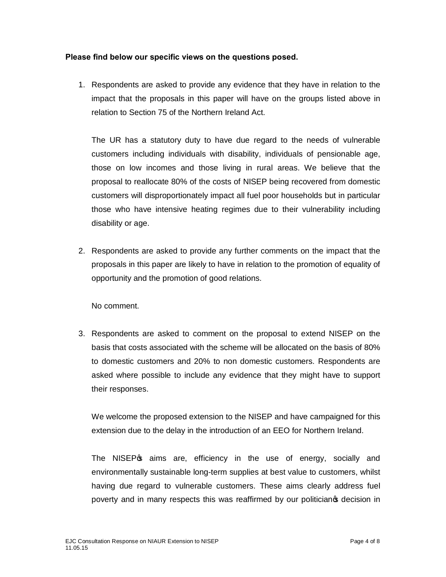## **Please find below our specific views on the questions posed.**

1. Respondents are asked to provide any evidence that they have in relation to the impact that the proposals in this paper will have on the groups listed above in relation to Section 75 of the Northern Ireland Act.

The UR has a statutory duty to have due regard to the needs of vulnerable customers including individuals with disability, individuals of pensionable age, those on low incomes and those living in rural areas. We believe that the proposal to reallocate 80% of the costs of NISEP being recovered from domestic customers will disproportionately impact all fuel poor households but in particular those who have intensive heating regimes due to their vulnerability including disability or age.

2. Respondents are asked to provide any further comments on the impact that the proposals in this paper are likely to have in relation to the promotion of equality of opportunity and the promotion of good relations.

No comment.

3. Respondents are asked to comment on the proposal to extend NISEP on the basis that costs associated with the scheme will be allocated on the basis of 80% to domestic customers and 20% to non domestic customers. Respondents are asked where possible to include any evidence that they might have to support their responses.

We welcome the proposed extension to the NISEP and have campaigned for this extension due to the delay in the introduction of an EEO for Northern Ireland.

The NISEP<sub>®</sub> aims are, efficiency in the use of energy, socially and environmentally sustainable long-term supplies at best value to customers, whilst having due regard to vulnerable customers. These aims clearly address fuel poverty and in many respects this was reaffirmed by our politicianos decision in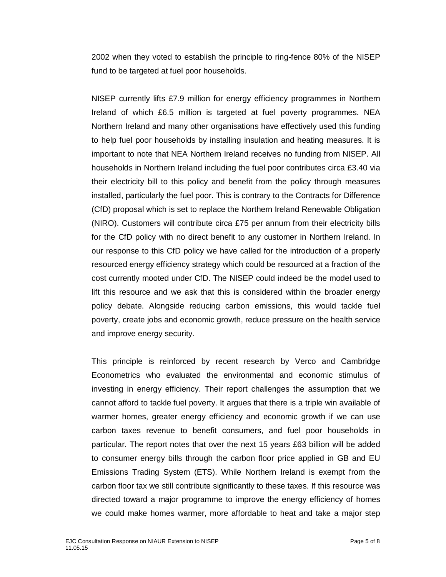2002 when they voted to establish the principle to ring-fence 80% of the NISEP fund to be targeted at fuel poor households.

NISEP currently lifts £7.9 million for energy efficiency programmes in Northern Ireland of which £6.5 million is targeted at fuel poverty programmes. NEA Northern Ireland and many other organisations have effectively used this funding to help fuel poor households by installing insulation and heating measures. It is important to note that NEA Northern Ireland receives no funding from NISEP. All households in Northern Ireland including the fuel poor contributes circa £3.40 via their electricity bill to this policy and benefit from the policy through measures installed, particularly the fuel poor. This is contrary to the Contracts for Difference (CfD) proposal which is set to replace the Northern Ireland Renewable Obligation (NIRO). Customers will contribute circa £75 per annum from their electricity bills for the CfD policy with no direct benefit to any customer in Northern Ireland. In our response to this CfD policy we have called for the introduction of a properly resourced energy efficiency strategy which could be resourced at a fraction of the cost currently mooted under CfD. The NISEP could indeed be the model used to lift this resource and we ask that this is considered within the broader energy policy debate. Alongside reducing carbon emissions, this would tackle fuel poverty, create jobs and economic growth, reduce pressure on the health service and improve energy security.

This principle is reinforced by recent research by Verco and Cambridge Econometrics who evaluated the environmental and economic stimulus of investing in energy efficiency. Their report challenges the assumption that we cannot afford to tackle fuel poverty. It argues that there is a triple win available of warmer homes, greater energy efficiency and economic growth if we can use carbon taxes revenue to benefit consumers, and fuel poor households in particular. The report notes that over the next 15 years £63 billion will be added to consumer energy bills through the carbon floor price applied in GB and EU Emissions Trading System (ETS). While Northern Ireland is exempt from the carbon floor tax we still contribute significantly to these taxes. If this resource was directed toward a major programme to improve the energy efficiency of homes we could make homes warmer, more affordable to heat and take a major step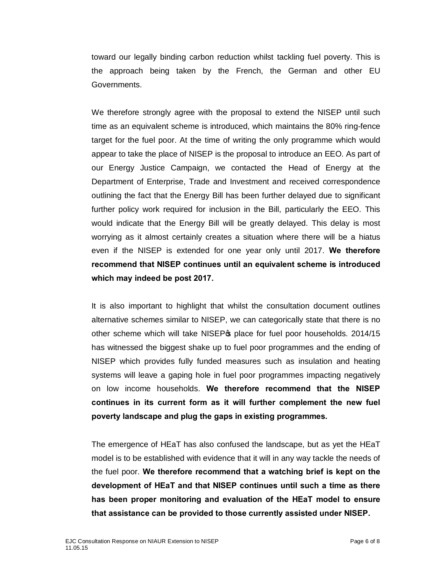toward our legally binding carbon reduction whilst tackling fuel poverty. This is the approach being taken by the French, the German and other EU Governments.

We therefore strongly agree with the proposal to extend the NISEP until such time as an equivalent scheme is introduced, which maintains the 80% ring-fence target for the fuel poor. At the time of writing the only programme which would appear to take the place of NISEP is the proposal to introduce an EEO. As part of our Energy Justice Campaign, we contacted the Head of Energy at the Department of Enterprise, Trade and Investment and received correspondence outlining the fact that the Energy Bill has been further delayed due to significant further policy work required for inclusion in the Bill, particularly the EEO. This would indicate that the Energy Bill will be greatly delayed. This delay is most worrying as it almost certainly creates a situation where there will be a hiatus even if the NISEP is extended for one year only until 2017. **We therefore recommend that NISEP continues until an equivalent scheme is introduced which may indeed be post 2017.**

It is also important to highlight that whilst the consultation document outlines alternative schemes similar to NISEP, we can categorically state that there is no other scheme which will take NISEP<sub>\$</sub> place for fuel poor households. 2014/15 has witnessed the biggest shake up to fuel poor programmes and the ending of NISEP which provides fully funded measures such as insulation and heating systems will leave a gaping hole in fuel poor programmes impacting negatively on low income households. **We therefore recommend that the NISEP continues in its current form as it will further complement the new fuel poverty landscape and plug the gaps in existing programmes.** 

The emergence of HEaT has also confused the landscape, but as yet the HEaT model is to be established with evidence that it will in any way tackle the needs of the fuel poor. **We therefore recommend that a watching brief is kept on the development of HEaT and that NISEP continues until such a time as there has been proper monitoring and evaluation of the HEaT model to ensure that assistance can be provided to those currently assisted under NISEP.**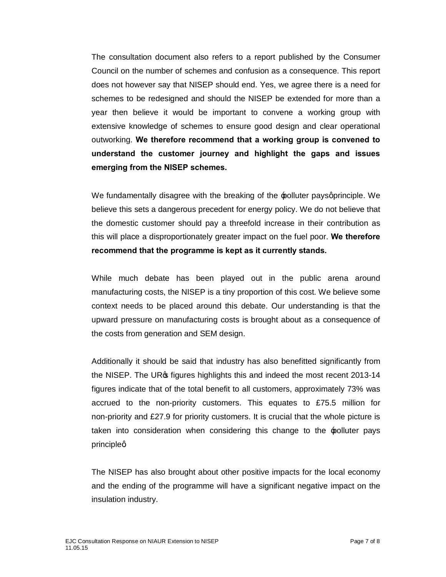The consultation document also refers to a report published by the Consumer Council on the number of schemes and confusion as a consequence. This report does not however say that NISEP should end. Yes, we agree there is a need for schemes to be redesigned and should the NISEP be extended for more than a year then believe it would be important to convene a working group with extensive knowledge of schemes to ensure good design and clear operational outworking. **We therefore recommend that a working group is convened to understand the customer journey and highlight the gaps and issues emerging from the NISEP schemes.**

We fundamentally disagree with the breaking of the  $\pm$  polluter pays principle. We believe this sets a dangerous precedent for energy policy. We do not believe that the domestic customer should pay a threefold increase in their contribution as this will place a disproportionately greater impact on the fuel poor. **We therefore recommend that the programme is kept as it currently stands.**

While much debate has been played out in the public arena around manufacturing costs, the NISEP is a tiny proportion of this cost. We believe some context needs to be placed around this debate. Our understanding is that the upward pressure on manufacturing costs is brought about as a consequence of the costs from generation and SEM design.

Additionally it should be said that industry has also benefitted significantly from the NISEP. The UR<sup>®</sup> figures highlights this and indeed the most recent 2013-14 figures indicate that of the total benefit to all customers, approximately 73% was accrued to the non-priority customers. This equates to £75.5 million for non-priority and £27.9 for priority customers. It is crucial that the whole picture is taken into consideration when considering this change to the 'polluter pays principleq

The NISEP has also brought about other positive impacts for the local economy and the ending of the programme will have a significant negative impact on the insulation industry.